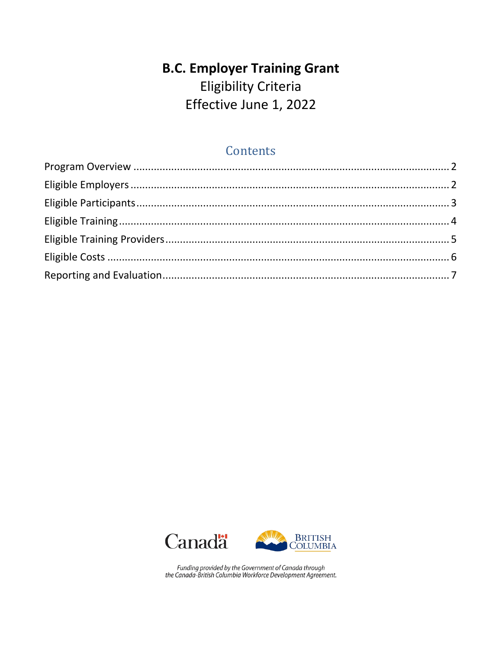# **B.C. Employer Training Grant** Eligibility Criteria Effective June 1, 2022

# **Contents**





Funding provided by the Government of Canada through<br>the Canada-British Columbia Workforce Development Agreement.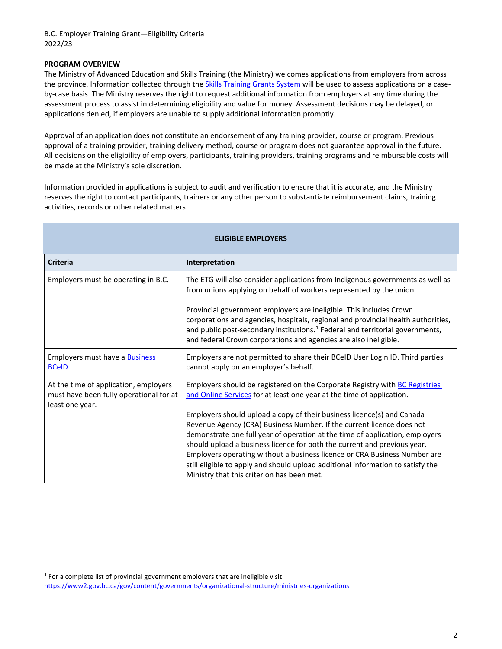#### <span id="page-1-0"></span>**PROGRAM OVERVIEW**

The Ministry of Advanced Education and Skills Training (the Ministry) welcomes applications from employers from across the province. Information collected through th[e Skills Training Grants System](http://skillstraininggrants.gov.bc.ca/) will be used to assess applications on a caseby-case basis. The Ministry reserves the right to request additional information from employers at any time during the assessment process to assist in determining eligibility and value for money. Assessment decisions may be delayed, or applications denied, if employers are unable to supply additional information promptly.

Approval of an application does not constitute an endorsement of any training provider, course or program. Previous approval of a training provider, training delivery method, course or program does not guarantee approval in the future. All decisions on the eligibility of employers, participants, training providers, training programs and reimbursable costs will be made at the Ministry's sole discretion.

Information provided in applications is subject to audit and verification to ensure that it is accurate, and the Ministry reserves the right to contact participants, trainers or any other person to substantiate reimbursement claims, training activities, records or other related matters.

<span id="page-1-1"></span>

| <b>ELIGIBLE EMPLOYERS</b>                                                                           |                                                                                                                                                                                                                                                                                                                                                                                                                                                                                                                                                                                                                                                                                          |  |
|-----------------------------------------------------------------------------------------------------|------------------------------------------------------------------------------------------------------------------------------------------------------------------------------------------------------------------------------------------------------------------------------------------------------------------------------------------------------------------------------------------------------------------------------------------------------------------------------------------------------------------------------------------------------------------------------------------------------------------------------------------------------------------------------------------|--|
| <b>Criteria</b>                                                                                     | Interpretation                                                                                                                                                                                                                                                                                                                                                                                                                                                                                                                                                                                                                                                                           |  |
| Employers must be operating in B.C.                                                                 | The ETG will also consider applications from Indigenous governments as well as<br>from unions applying on behalf of workers represented by the union.<br>Provincial government employers are ineligible. This includes Crown<br>corporations and agencies, hospitals, regional and provincial health authorities,<br>and public post-secondary institutions. <sup>1</sup> Federal and territorial governments,<br>and federal Crown corporations and agencies are also ineligible.                                                                                                                                                                                                       |  |
| Employers must have a <b>Business</b><br><b>BCeID.</b>                                              | Employers are not permitted to share their BCeID User Login ID. Third parties<br>cannot apply on an employer's behalf.                                                                                                                                                                                                                                                                                                                                                                                                                                                                                                                                                                   |  |
| At the time of application, employers<br>must have been fully operational for at<br>least one year. | Employers should be registered on the Corporate Registry with <b>BC Registries</b><br>and Online Services for at least one year at the time of application.<br>Employers should upload a copy of their business licence(s) and Canada<br>Revenue Agency (CRA) Business Number. If the current licence does not<br>demonstrate one full year of operation at the time of application, employers<br>should upload a business licence for both the current and previous year.<br>Employers operating without a business licence or CRA Business Number are<br>still eligible to apply and should upload additional information to satisfy the<br>Ministry that this criterion has been met. |  |

<span id="page-1-2"></span><sup>&</sup>lt;sup>1</sup> For a complete list of provincial government employers that are ineligible visit: <https://www2.gov.bc.ca/gov/content/governments/organizational-structure/ministries-organizations>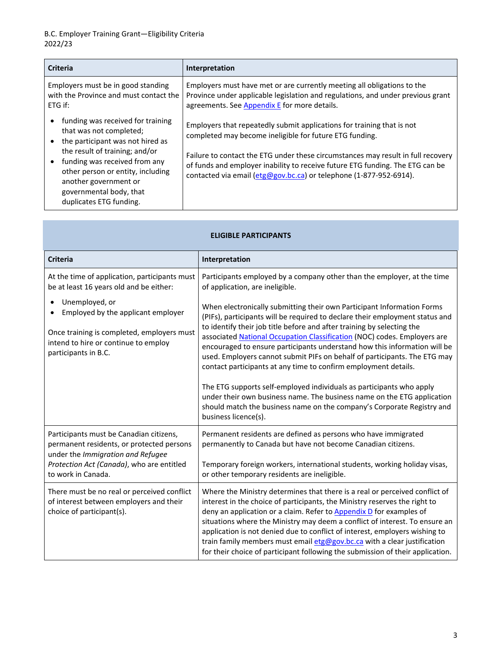| <b>Criteria</b>                                                                                                                                                                                                                                                                         | Interpretation                                                                                                                                                                                                                                                                                                                                                               |
|-----------------------------------------------------------------------------------------------------------------------------------------------------------------------------------------------------------------------------------------------------------------------------------------|------------------------------------------------------------------------------------------------------------------------------------------------------------------------------------------------------------------------------------------------------------------------------------------------------------------------------------------------------------------------------|
| Employers must be in good standing<br>with the Province and must contact the<br>ETG if:                                                                                                                                                                                                 | Employers must have met or are currently meeting all obligations to the<br>Province under applicable legislation and regulations, and under previous grant<br>agreements. See Appendix E for more details.                                                                                                                                                                   |
| funding was received for training<br>that was not completed;<br>the participant was not hired as<br>the result of training; and/or<br>funding was received from any<br>other person or entity, including<br>another government or<br>governmental body, that<br>duplicates ETG funding. | Employers that repeatedly submit applications for training that is not<br>completed may become ineligible for future ETG funding.<br>Failure to contact the ETG under these circumstances may result in full recovery<br>of funds and employer inability to receive future ETG funding. The ETG can be<br>contacted via email (etg@gov.bc.ca) or telephone (1-877-952-6914). |

<span id="page-2-0"></span>

| <b>ELIGIBLE PARTICIPANTS</b>                                                                                                                                                                 |                                                                                                                                                                                                                                                                                                                                                                                                                                                                                                                                                                                                                                                                                                                                                                                                |  |
|----------------------------------------------------------------------------------------------------------------------------------------------------------------------------------------------|------------------------------------------------------------------------------------------------------------------------------------------------------------------------------------------------------------------------------------------------------------------------------------------------------------------------------------------------------------------------------------------------------------------------------------------------------------------------------------------------------------------------------------------------------------------------------------------------------------------------------------------------------------------------------------------------------------------------------------------------------------------------------------------------|--|
| <b>Criteria</b>                                                                                                                                                                              | Interpretation                                                                                                                                                                                                                                                                                                                                                                                                                                                                                                                                                                                                                                                                                                                                                                                 |  |
| At the time of application, participants must<br>be at least 16 years old and be either:                                                                                                     | Participants employed by a company other than the employer, at the time<br>of application, are ineligible.                                                                                                                                                                                                                                                                                                                                                                                                                                                                                                                                                                                                                                                                                     |  |
| Unemployed, or<br>$\bullet$<br>Employed by the applicant employer<br>Once training is completed, employers must<br>intend to hire or continue to employ<br>participants in B.C.              | When electronically submitting their own Participant Information Forms<br>(PIFs), participants will be required to declare their employment status and<br>to identify their job title before and after training by selecting the<br>associated National Occupation Classification (NOC) codes. Employers are<br>encouraged to ensure participants understand how this information will be<br>used. Employers cannot submit PIFs on behalf of participants. The ETG may<br>contact participants at any time to confirm employment details.<br>The ETG supports self-employed individuals as participants who apply<br>under their own business name. The business name on the ETG application<br>should match the business name on the company's Corporate Registry and<br>business licence(s). |  |
| Participants must be Canadian citizens,<br>permanent residents, or protected persons<br>under the Immigration and Refugee<br>Protection Act (Canada), who are entitled<br>to work in Canada. | Permanent residents are defined as persons who have immigrated<br>permanently to Canada but have not become Canadian citizens.<br>Temporary foreign workers, international students, working holiday visas,<br>or other temporary residents are ineligible.                                                                                                                                                                                                                                                                                                                                                                                                                                                                                                                                    |  |
| There must be no real or perceived conflict<br>of interest between employers and their<br>choice of participant(s).                                                                          | Where the Ministry determines that there is a real or perceived conflict of<br>interest in the choice of participants, the Ministry reserves the right to<br>deny an application or a claim. Refer to <b>Appendix D</b> for examples of<br>situations where the Ministry may deem a conflict of interest. To ensure an<br>application is not denied due to conflict of interest, employers wishing to<br>train family members must email etg@gov.bc.ca with a clear justification<br>for their choice of participant following the submission of their application.                                                                                                                                                                                                                            |  |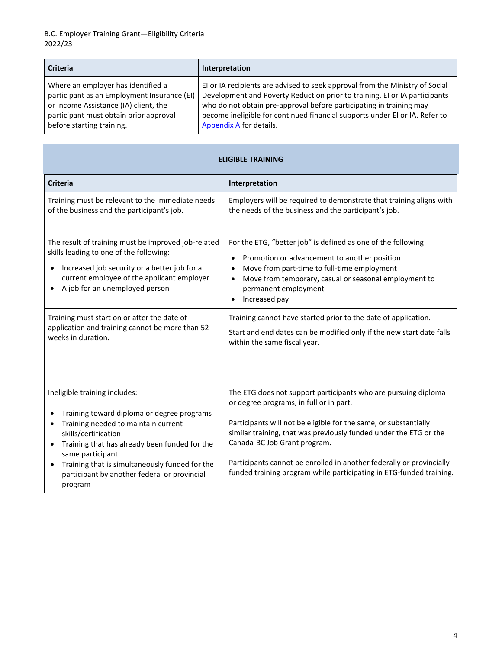| <b>Criteria</b>                             | Interpretation                                                               |
|---------------------------------------------|------------------------------------------------------------------------------|
| Where an employer has identified a          | EI or IA recipients are advised to seek approval from the Ministry of Social |
| participant as an Employment Insurance (EI) | Development and Poverty Reduction prior to training. EI or IA participants   |
| or Income Assistance (IA) client, the       | who do not obtain pre-approval before participating in training may          |
| participant must obtain prior approval      | become ineligible for continued financial supports under EI or IA. Refer to  |
| before starting training.                   | Appendix A for details.                                                      |

<span id="page-3-0"></span>

| <b>ELIGIBLE TRAINING</b>                                                                                                                                                                                                       |                                                                                                                                                                                                                                                                             |  |
|--------------------------------------------------------------------------------------------------------------------------------------------------------------------------------------------------------------------------------|-----------------------------------------------------------------------------------------------------------------------------------------------------------------------------------------------------------------------------------------------------------------------------|--|
| <b>Criteria</b>                                                                                                                                                                                                                | Interpretation                                                                                                                                                                                                                                                              |  |
| Training must be relevant to the immediate needs<br>of the business and the participant's job.                                                                                                                                 | Employers will be required to demonstrate that training aligns with<br>the needs of the business and the participant's job.                                                                                                                                                 |  |
| The result of training must be improved job-related<br>skills leading to one of the following:<br>Increased job security or a better job for a<br>current employee of the applicant employer<br>A job for an unemployed person | For the ETG, "better job" is defined as one of the following:<br>Promotion or advancement to another position<br>$\bullet$<br>Move from part-time to full-time employment<br>Move from temporary, casual or seasonal employment to<br>permanent employment<br>Increased pay |  |
| Training must start on or after the date of<br>application and training cannot be more than 52<br>weeks in duration.                                                                                                           | Training cannot have started prior to the date of application.<br>Start and end dates can be modified only if the new start date falls<br>within the same fiscal year.                                                                                                      |  |
| Ineligible training includes:<br>Training toward diploma or degree programs<br>٠                                                                                                                                               | The ETG does not support participants who are pursuing diploma<br>or degree programs, in full or in part.                                                                                                                                                                   |  |
| Training needed to maintain current<br>٠<br>skills/certification<br>Training that has already been funded for the<br>$\bullet$<br>same participant                                                                             | Participants will not be eligible for the same, or substantially<br>similar training, that was previously funded under the ETG or the<br>Canada-BC Job Grant program.                                                                                                       |  |
| Training that is simultaneously funded for the<br>$\bullet$<br>participant by another federal or provincial<br>program                                                                                                         | Participants cannot be enrolled in another federally or provincially<br>funded training program while participating in ETG-funded training.                                                                                                                                 |  |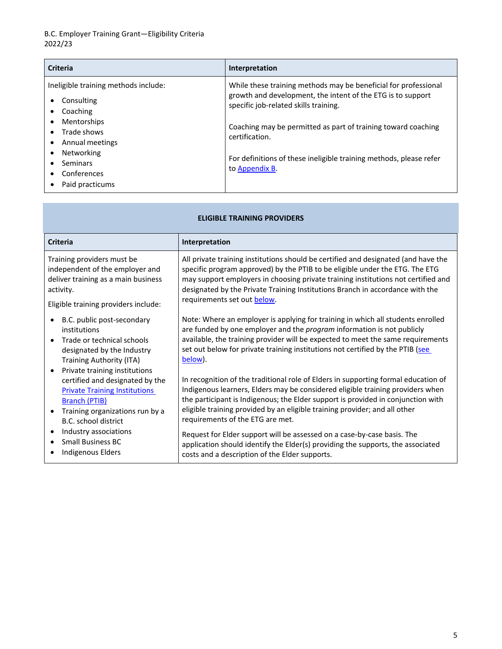# B.C. Employer Training Grant—Eligibility Criteria 2022/23

| <b>Criteria</b>                                                                                                                                                                                             | Interpretation                                                                                                                                                                                                                                                                                                                                     |
|-------------------------------------------------------------------------------------------------------------------------------------------------------------------------------------------------------------|----------------------------------------------------------------------------------------------------------------------------------------------------------------------------------------------------------------------------------------------------------------------------------------------------------------------------------------------------|
| Ineligible training methods include:<br>Consulting<br>٠<br>Coaching<br><b>Mentorships</b><br>$\bullet$<br>Trade shows<br>Annual meetings<br><b>Networking</b><br>Seminars<br>Conferences<br>Paid practicums | While these training methods may be beneficial for professional<br>growth and development, the intent of the ETG is to support<br>specific job-related skills training.<br>Coaching may be permitted as part of training toward coaching<br>certification.<br>For definitions of these ineligible training methods, please refer<br>to Appendix B. |

#### **ELIGIBLE TRAINING PROVIDERS**

<span id="page-4-0"></span>

| <b>Criteria</b>                                                                                                                                                                             | Interpretation                                                                                                                                                                                                                                                                                                                                                             |
|---------------------------------------------------------------------------------------------------------------------------------------------------------------------------------------------|----------------------------------------------------------------------------------------------------------------------------------------------------------------------------------------------------------------------------------------------------------------------------------------------------------------------------------------------------------------------------|
| Training providers must be                                                                                                                                                                  | All private training institutions should be certified and designated (and have the                                                                                                                                                                                                                                                                                         |
| independent of the employer and                                                                                                                                                             | specific program approved) by the PTIB to be eligible under the ETG. The ETG                                                                                                                                                                                                                                                                                               |
| deliver training as a main business                                                                                                                                                         | may support employers in choosing private training institutions not certified and                                                                                                                                                                                                                                                                                          |
| activity.                                                                                                                                                                                   | designated by the Private Training Institutions Branch in accordance with the                                                                                                                                                                                                                                                                                              |
| Eligible training providers include:                                                                                                                                                        | requirements set out below.                                                                                                                                                                                                                                                                                                                                                |
| B.C. public post-secondary                                                                                                                                                                  | Note: Where an employer is applying for training in which all students enrolled                                                                                                                                                                                                                                                                                            |
| institutions                                                                                                                                                                                | are funded by one employer and the <i>program</i> information is not publicly                                                                                                                                                                                                                                                                                              |
| Trade or technical schools                                                                                                                                                                  | available, the training provider will be expected to meet the same requirements                                                                                                                                                                                                                                                                                            |
| designated by the Industry                                                                                                                                                                  | set out below for private training institutions not certified by the PTIB (see                                                                                                                                                                                                                                                                                             |
| <b>Training Authority (ITA)</b>                                                                                                                                                             | below).                                                                                                                                                                                                                                                                                                                                                                    |
| Private training institutions<br>certified and designated by the<br><b>Private Training Institutions</b><br><b>Branch (PTIB)</b><br>Training organizations run by a<br>B.C. school district | In recognition of the traditional role of Elders in supporting formal education of<br>Indigenous learners, Elders may be considered eligible training providers when<br>the participant is Indigenous; the Elder support is provided in conjunction with<br>eligible training provided by an eligible training provider; and all other<br>requirements of the ETG are met. |
| Industry associations                                                                                                                                                                       | Request for Elder support will be assessed on a case-by-case basis. The                                                                                                                                                                                                                                                                                                    |
| <b>Small Business BC</b>                                                                                                                                                                    | application should identify the Elder(s) providing the supports, the associated                                                                                                                                                                                                                                                                                            |
| Indigenous Elders                                                                                                                                                                           | costs and a description of the Elder supports.                                                                                                                                                                                                                                                                                                                             |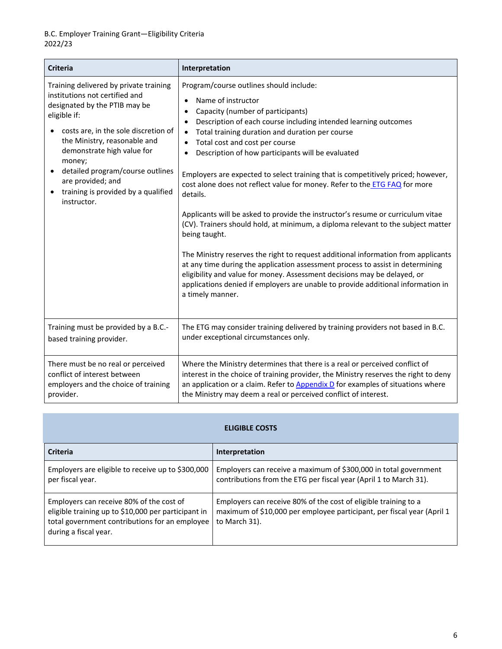<span id="page-5-1"></span>

| <b>Criteria</b>                                                                                                                                                                                                                                                                                                                                                                    | Interpretation                                                                                                                                                                                                                                                                                                                                                                                                                                                                                                                                                                                                                                                                                                                                                                                                                                                                                                                                                                                                                                                                                                                  |
|------------------------------------------------------------------------------------------------------------------------------------------------------------------------------------------------------------------------------------------------------------------------------------------------------------------------------------------------------------------------------------|---------------------------------------------------------------------------------------------------------------------------------------------------------------------------------------------------------------------------------------------------------------------------------------------------------------------------------------------------------------------------------------------------------------------------------------------------------------------------------------------------------------------------------------------------------------------------------------------------------------------------------------------------------------------------------------------------------------------------------------------------------------------------------------------------------------------------------------------------------------------------------------------------------------------------------------------------------------------------------------------------------------------------------------------------------------------------------------------------------------------------------|
| Training delivered by private training<br>institutions not certified and<br>designated by the PTIB may be<br>eligible if:<br>costs are, in the sole discretion of<br>$\bullet$<br>the Ministry, reasonable and<br>demonstrate high value for<br>money;<br>detailed program/course outlines<br>$\bullet$<br>are provided; and<br>training is provided by a qualified<br>instructor. | Program/course outlines should include:<br>Name of instructor<br>$\bullet$<br>Capacity (number of participants)<br>$\epsilon$<br>Description of each course including intended learning outcomes<br>$\bullet$<br>Total training duration and duration per course<br>$\bullet$<br>Total cost and cost per course<br>$\bullet$<br>Description of how participants will be evaluated<br>$\bullet$<br>Employers are expected to select training that is competitively priced; however,<br>cost alone does not reflect value for money. Refer to the ETG FAQ for more<br>details.<br>Applicants will be asked to provide the instructor's resume or curriculum vitae<br>(CV). Trainers should hold, at minimum, a diploma relevant to the subject matter<br>being taught.<br>The Ministry reserves the right to request additional information from applicants<br>at any time during the application assessment process to assist in determining<br>eligibility and value for money. Assessment decisions may be delayed, or<br>applications denied if employers are unable to provide additional information in<br>a timely manner. |
| Training must be provided by a B.C.-                                                                                                                                                                                                                                                                                                                                               | The ETG may consider training delivered by training providers not based in B.C.                                                                                                                                                                                                                                                                                                                                                                                                                                                                                                                                                                                                                                                                                                                                                                                                                                                                                                                                                                                                                                                 |
| based training provider.                                                                                                                                                                                                                                                                                                                                                           | under exceptional circumstances only.                                                                                                                                                                                                                                                                                                                                                                                                                                                                                                                                                                                                                                                                                                                                                                                                                                                                                                                                                                                                                                                                                           |
| There must be no real or perceived                                                                                                                                                                                                                                                                                                                                                 | Where the Ministry determines that there is a real or perceived conflict of                                                                                                                                                                                                                                                                                                                                                                                                                                                                                                                                                                                                                                                                                                                                                                                                                                                                                                                                                                                                                                                     |
| conflict of interest between                                                                                                                                                                                                                                                                                                                                                       | interest in the choice of training provider, the Ministry reserves the right to deny                                                                                                                                                                                                                                                                                                                                                                                                                                                                                                                                                                                                                                                                                                                                                                                                                                                                                                                                                                                                                                            |
| employers and the choice of training                                                                                                                                                                                                                                                                                                                                               | an application or a claim. Refer to Appendix D for examples of situations where                                                                                                                                                                                                                                                                                                                                                                                                                                                                                                                                                                                                                                                                                                                                                                                                                                                                                                                                                                                                                                                 |
| provider.                                                                                                                                                                                                                                                                                                                                                                          | the Ministry may deem a real or perceived conflict of interest.                                                                                                                                                                                                                                                                                                                                                                                                                                                                                                                                                                                                                                                                                                                                                                                                                                                                                                                                                                                                                                                                 |

#### **ELIGIBLE COSTS**

<span id="page-5-0"></span>

| <b>Criteria</b>                                                                                                                                                            | Interpretation                                                                                                                                             |
|----------------------------------------------------------------------------------------------------------------------------------------------------------------------------|------------------------------------------------------------------------------------------------------------------------------------------------------------|
| Employers are eligible to receive up to \$300,000<br>per fiscal year.                                                                                                      | Employers can receive a maximum of \$300,000 in total government<br>contributions from the ETG per fiscal year (April 1 to March 31).                      |
| Employers can receive 80% of the cost of<br>eligible training up to \$10,000 per participant in<br>total government contributions for an employee<br>during a fiscal year. | Employers can receive 80% of the cost of eligible training to a<br>maximum of \$10,000 per employee participant, per fiscal year (April 1<br>to March 31). |